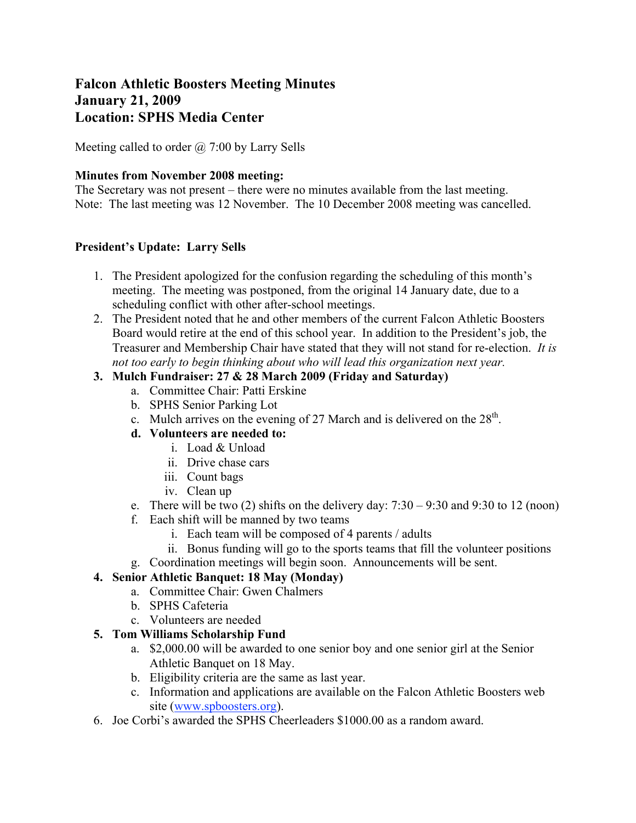# **Falcon Athletic Boosters Meeting Minutes January 21, 2009 Location: SPHS Media Center**

Meeting called to order  $\omega$  7:00 by Larry Sells

#### **Minutes from November 2008 meeting:**

The Secretary was not present – there were no minutes available from the last meeting. Note: The last meeting was 12 November. The 10 December 2008 meeting was cancelled.

#### **President's Update: Larry Sells**

- 1. The President apologized for the confusion regarding the scheduling of this month's meeting. The meeting was postponed, from the original 14 January date, due to a scheduling conflict with other after-school meetings.
- 2. The President noted that he and other members of the current Falcon Athletic Boosters Board would retire at the end of this school year. In addition to the President's job, the Treasurer and Membership Chair have stated that they will not stand for re-election. *It is not too early to begin thinking about who will lead this organization next year.*

## **3. Mulch Fundraiser: 27 & 28 March 2009 (Friday and Saturday)**

- a. Committee Chair: Patti Erskine
- b. SPHS Senior Parking Lot
- c. Mulch arrives on the evening of 27 March and is delivered on the  $28<sup>th</sup>$ .

## **d. Volunteers are needed to:**

- i. Load & Unload
- ii. Drive chase cars
- iii. Count bags
- iv. Clean up
- e. There will be two (2) shifts on the delivery day:  $7:30 9:30$  and  $9:30$  to 12 (noon)
- f. Each shift will be manned by two teams
	- i. Each team will be composed of 4 parents / adults
	- ii. Bonus funding will go to the sports teams that fill the volunteer positions
- g. Coordination meetings will begin soon. Announcements will be sent.

## **4. Senior Athletic Banquet: 18 May (Monday)**

- a. Committee Chair: Gwen Chalmers
- b. SPHS Cafeteria
- c. Volunteers are needed

## **5. Tom Williams Scholarship Fund**

- a. \$2,000.00 will be awarded to one senior boy and one senior girl at the Senior Athletic Banquet on 18 May.
- b. Eligibility criteria are the same as last year.
- c. Information and applications are available on the Falcon Athletic Boosters web site (www.spboosters.org).
- 6. Joe Corbi's awarded the SPHS Cheerleaders \$1000.00 as a random award.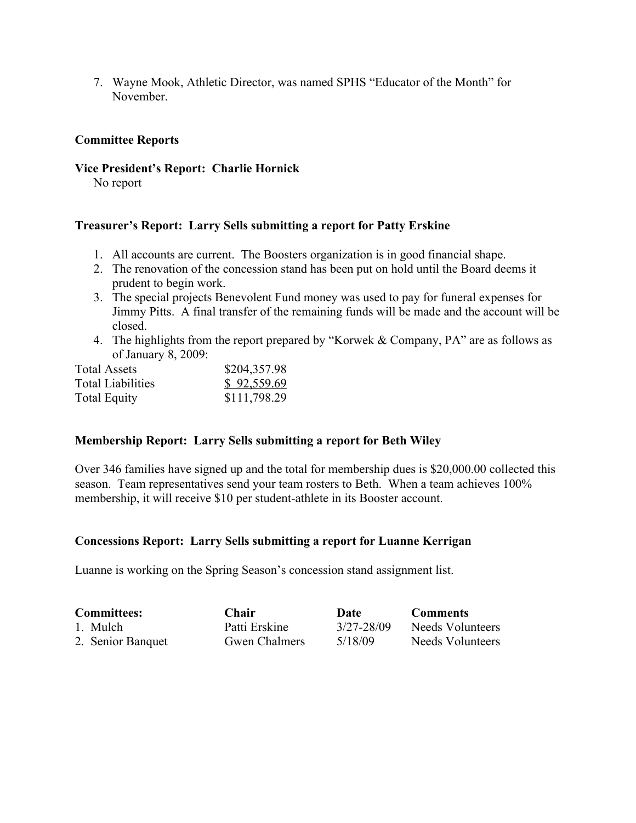7. Wayne Mook, Athletic Director, was named SPHS "Educator of the Month" for November.

#### **Committee Reports**

#### **Vice President's Report: Charlie Hornick**

No report

#### **Treasurer's Report: Larry Sells submitting a report for Patty Erskine**

- 1. All accounts are current. The Boosters organization is in good financial shape.
- 2. The renovation of the concession stand has been put on hold until the Board deems it prudent to begin work.
- 3. The special projects Benevolent Fund money was used to pay for funeral expenses for Jimmy Pitts. A final transfer of the remaining funds will be made and the account will be closed.
- 4. The highlights from the report prepared by "Korwek & Company, PA" are as follows as of January 8, 2009:

| <b>Total Assets</b>      | \$204,357.98 |  |  |
|--------------------------|--------------|--|--|
| <b>Total Liabilities</b> | \$92,559.69  |  |  |
| <b>Total Equity</b>      | \$111,798.29 |  |  |

## **Membership Report: Larry Sells submitting a report for Beth Wiley**

Over 346 families have signed up and the total for membership dues is \$20,000.00 collected this season. Team representatives send your team rosters to Beth. When a team achieves 100% membership, it will receive \$10 per student-athlete in its Booster account.

#### **Concessions Report: Larry Sells submitting a report for Luanne Kerrigan**

Luanne is working on the Spring Season's concession stand assignment list.

| <b>Committees:</b> | <b>Chair</b>         | Date       | <b>Comments</b>  |
|--------------------|----------------------|------------|------------------|
| 1. Mulch           | Patti Erskine        | 3/27-28/09 | Needs Volunteers |
| 2. Senior Banquet  | <b>Gwen Chalmers</b> | 5/18/09    | Needs Volunteers |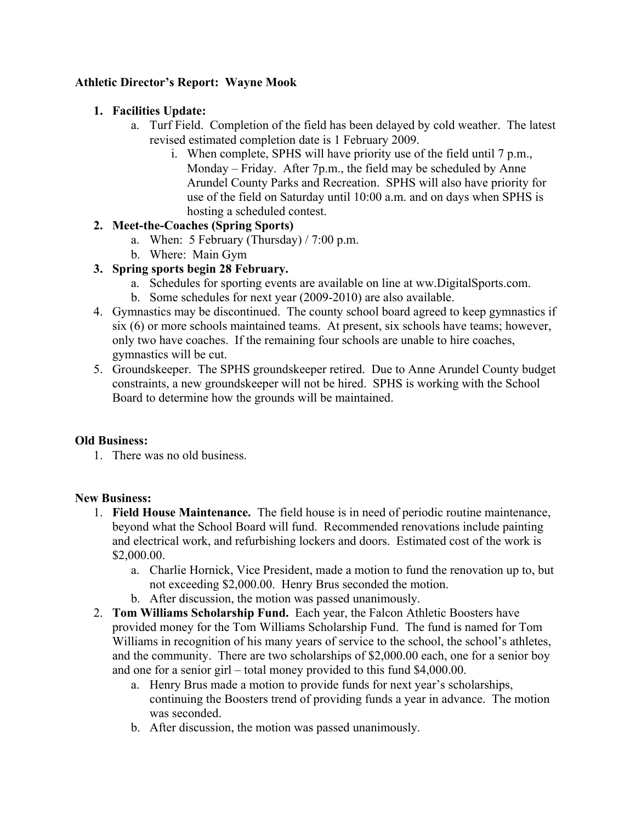# **Athletic Director's Report: Wayne Mook**

# **1. Facilities Update:**

- a. Turf Field. Completion of the field has been delayed by cold weather. The latest revised estimated completion date is 1 February 2009.
	- i. When complete, SPHS will have priority use of the field until 7 p.m., Monday – Friday. After 7p.m., the field may be scheduled by Anne Arundel County Parks and Recreation. SPHS will also have priority for use of the field on Saturday until 10:00 a.m. and on days when SPHS is hosting a scheduled contest.

## **2. Meet-the-Coaches (Spring Sports)**

- a. When: 5 February (Thursday)  $/ 7:00$  p.m.
- b. Where: Main Gym

# **3. Spring sports begin 28 February.**

- a. Schedules for sporting events are available on line at ww.DigitalSports.com.
- b. Some schedules for next year (2009-2010) are also available.
- 4. Gymnastics may be discontinued. The county school board agreed to keep gymnastics if six (6) or more schools maintained teams. At present, six schools have teams; however, only two have coaches. If the remaining four schools are unable to hire coaches, gymnastics will be cut.
- 5. Groundskeeper. The SPHS groundskeeper retired. Due to Anne Arundel County budget constraints, a new groundskeeper will not be hired. SPHS is working with the School Board to determine how the grounds will be maintained.

## **Old Business:**

1. There was no old business.

## **New Business:**

- 1. **Field House Maintenance.** The field house is in need of periodic routine maintenance, beyond what the School Board will fund. Recommended renovations include painting and electrical work, and refurbishing lockers and doors. Estimated cost of the work is \$2,000.00.
	- a. Charlie Hornick, Vice President, made a motion to fund the renovation up to, but not exceeding \$2,000.00. Henry Brus seconded the motion.
	- b. After discussion, the motion was passed unanimously.
- 2. **Tom Williams Scholarship Fund.** Each year, the Falcon Athletic Boosters have provided money for the Tom Williams Scholarship Fund. The fund is named for Tom Williams in recognition of his many years of service to the school, the school's athletes, and the community. There are two scholarships of \$2,000.00 each, one for a senior boy and one for a senior girl – total money provided to this fund \$4,000.00.
	- a. Henry Brus made a motion to provide funds for next year's scholarships, continuing the Boosters trend of providing funds a year in advance. The motion was seconded.
	- b. After discussion, the motion was passed unanimously.